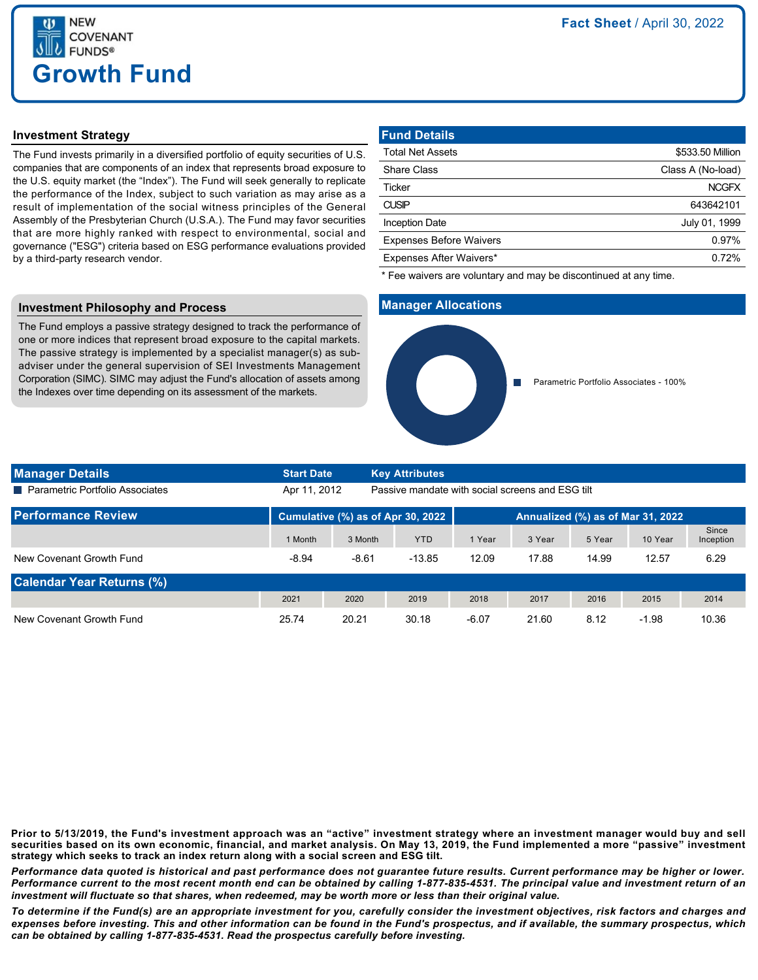

## **Investment Strategy**

The Fund invests primarily in a diversified portfolio of equity securities of U.S. companies that are components of an index that represents broad exposure to the U.S. equity market (the "Index"). The Fund will seek generally to replicate the performance of the Index, subject to such variation as may arise as a result of implementation of the social witness principles of the General Assembly of the Presbyterian Church (U.S.A.). The Fund may favor securities that are more highly ranked with respect to environmental, social and governance ("ESG") criteria based on ESG performance evaluations provided by a third-party research vendor.

#### **Investment Philosophy and Process**

The Fund employs a passive strategy designed to track the performance of one or more indices that represent broad exposure to the capital markets. The passive strategy is implemented by a specialist manager(s) as subadviser under the general supervision of SEI Investments Management Corporation (SIMC). SIMC may adjust the Fund's allocation of assets among the Indexes over time depending on its assessment of the markets.

| <b>Fund Details</b>            |                   |
|--------------------------------|-------------------|
| <b>Total Net Assets</b>        | \$533.50 Million  |
| <b>Share Class</b>             | Class A (No-load) |
| Ticker                         | <b>NCGFX</b>      |
| <b>CUSIP</b>                   | 643642101         |
| <b>Inception Date</b>          | July 01, 1999     |
| <b>Expenses Before Waivers</b> | 0.97%             |
| Expenses After Waivers*        | 0.72%             |

\* Fee waivers are voluntary and may be discontinued at any time.

### **Manager Allocations**



| <b>Manager Details</b>           | <b>Start Date</b>                                                |         | <b>Key Attributes</b>             |         |        |        |         |                    |
|----------------------------------|------------------------------------------------------------------|---------|-----------------------------------|---------|--------|--------|---------|--------------------|
| Parametric Portfolio Associates  | Passive mandate with social screens and ESG tilt<br>Apr 11, 2012 |         |                                   |         |        |        |         |                    |
| <b>Performance Review</b>        | Cumulative (%) as of Apr 30, 2022                                |         | Annualized (%) as of Mar 31, 2022 |         |        |        |         |                    |
|                                  | 1 Month                                                          | 3 Month | <b>YTD</b>                        | 1 Year  | 3 Year | 5 Year | 10 Year | Since<br>Inception |
| New Covenant Growth Fund         | $-8.94$                                                          | $-8.61$ | $-13.85$                          | 12.09   | 17.88  | 14.99  | 12.57   | 6.29               |
| <b>Calendar Year Returns (%)</b> |                                                                  |         |                                   |         |        |        |         |                    |
|                                  | 2021                                                             | 2020    | 2019                              | 2018    | 2017   | 2016   | 2015    | 2014               |
| New Covenant Growth Fund         | 25.74                                                            | 20.21   | 30.18                             | $-6.07$ | 21.60  | 8.12   | $-1.98$ | 10.36              |

**Prior to 5/13/2019, the Fund's investment approach was an "active" investment strategy where an investment manager would buy and sell securities based on its own economic, financial, and market analysis. On May 13, 2019, the Fund implemented a more "passive" investment strategy which seeks to track an index return along with a social screen and ESG tilt.**

*Performance data quoted is historical and past performance does not guarantee future results. Current performance may be higher or lower. Performance current to the most recent month end can be obtained by calling 1-877-835-4531. The principal value and investment return of an investment will fluctuate so that shares, when redeemed, may be worth more or less than their original value.*

*To determine if the Fund(s) are an appropriate investment for you, carefully consider the investment objectives, risk factors and charges and expenses before investing. This and other information can be found in the Fund's prospectus, and if available, the summary prospectus, which can be obtained by calling 1-877-835-4531. Read the prospectus carefully before investing.*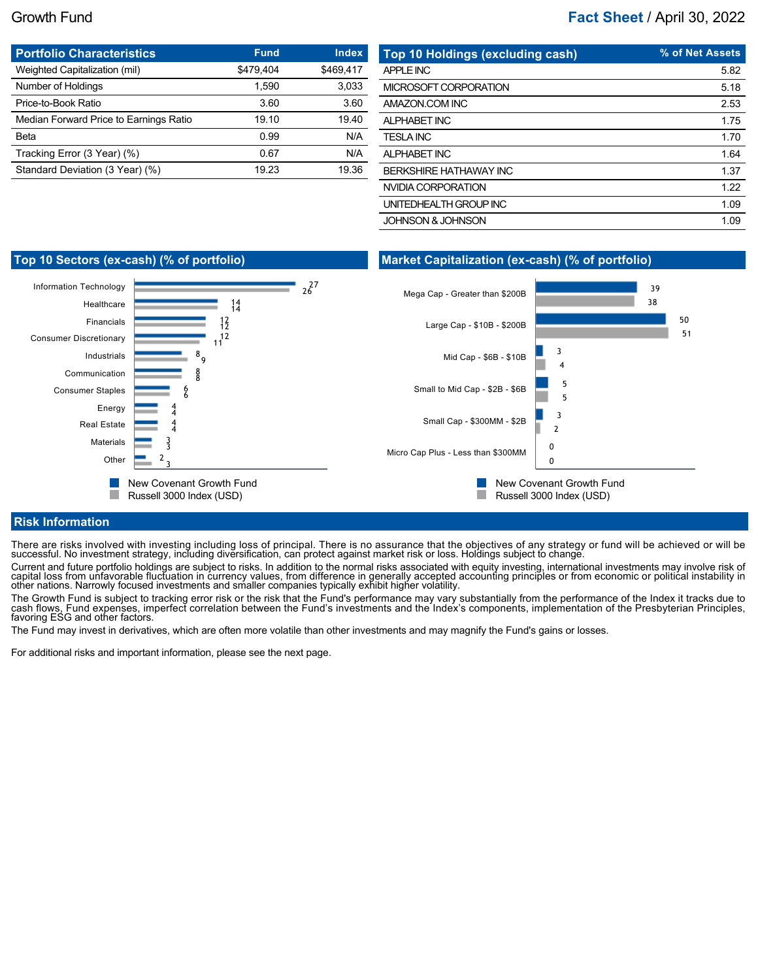# Growth Fund **Fact Sheet** / April 30, 2022

| <b>Portfolio Characteristics</b>       | <b>Fund</b> | <b>Index</b> |
|----------------------------------------|-------------|--------------|
| Weighted Capitalization (mil)          | \$479.404   | \$469.417    |
| Number of Holdings                     | 1.590       | 3,033        |
| Price-to-Book Ratio                    | 3.60        | 3.60         |
| Median Forward Price to Earnings Ratio | 19.10       | 19.40        |
| Beta                                   | 0.99        | N/A          |
| Tracking Error (3 Year) (%)            | 0.67        | N/A          |
| Standard Deviation (3 Year) (%)        | 19.23       | 19.36        |
|                                        |             |              |

| Top 10 Holdings (excluding cash) | % of Net Assets |
|----------------------------------|-----------------|
| <b>APPLE INC</b>                 | 5.82            |
| MICROSOFT CORPORATION            | 5.18            |
| AMAZON COM INC                   | 2.53            |
| ALPHABET INC                     | 1.75            |
| <b>TESLA INC</b>                 | 1.70            |
| ALPHABET INC                     | 1.64            |
| BERKSHIRE HATHAWAY INC           | 1.37            |
| NVIDIA CORPORATION               | 1.22            |
| UNITEDHEALTH GROUP INC           | 1.09            |
| <b>JOHNSON &amp; JOHNSON</b>     | 1.09            |

# **Top 10 Sectors (ex-cash) (% of portfolio)**

## **Market Capitalization (ex-cash) (% of portfolio)**



## **Risk Information**

There are risks involved with investing including loss of principal. There is no assurance that the objectives of any strategy or fund will be achieved or will be<br>successful. No investment strategy, including diversificati

Current and future portfolio holdings are subject to risks. In addition to the normal risks associated with equity investing, international investments may involve risk of<br>capital loss from unfavorable fluctuation in curre

The Growth Fund is subject to tracking error risk or the risk that the Fund's performance may vary substantially from the performance of the Index it tracks due to<br>cash flows, Fund expenses, imperfect correlation between t

The Fund may invest in derivatives, which are often more volatile than other investments and may magnify the Fund's gains or losses.

For additional risks and important information, please see the next page.